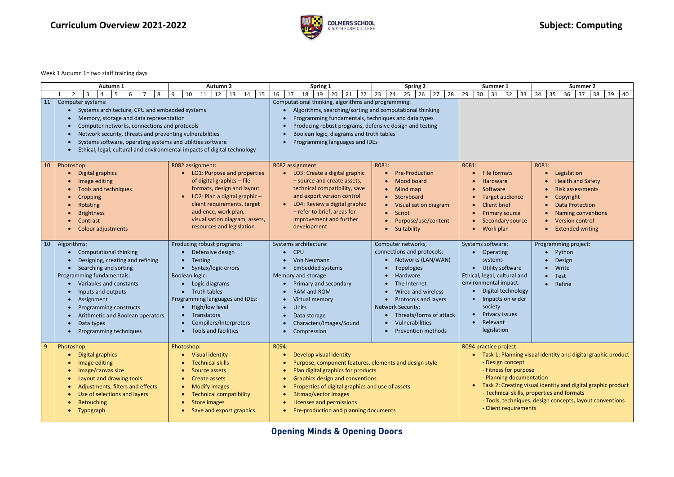**Opening Minds & Opening Doors**

**Curriculum** Overview 2021-2022 **Subject:** Computing



## Week 1 Autumn 1= two staff training days

|    | <b>Autumn 1</b>                                                                                                                                                                                                                                                                                                                                                      | <b>Autumn 2</b>                                                                                                                                                                                                                                                                      | Spring 1                                                                                                                                                                                                                                                                                                                                        | <b>Spring 2</b>                                                                                                                                                                                                                                                              | Summer 1                                                                                                                                                                                                                                                                                                                                                             | <b>Summer 2</b>                                                                                                                                                                                      |
|----|----------------------------------------------------------------------------------------------------------------------------------------------------------------------------------------------------------------------------------------------------------------------------------------------------------------------------------------------------------------------|--------------------------------------------------------------------------------------------------------------------------------------------------------------------------------------------------------------------------------------------------------------------------------------|-------------------------------------------------------------------------------------------------------------------------------------------------------------------------------------------------------------------------------------------------------------------------------------------------------------------------------------------------|------------------------------------------------------------------------------------------------------------------------------------------------------------------------------------------------------------------------------------------------------------------------------|----------------------------------------------------------------------------------------------------------------------------------------------------------------------------------------------------------------------------------------------------------------------------------------------------------------------------------------------------------------------|------------------------------------------------------------------------------------------------------------------------------------------------------------------------------------------------------|
|    | 5<br>6<br>8<br>$\overline{2}$<br>3<br>4                                                                                                                                                                                                                                                                                                                              | 10<br>13<br>14<br>15<br>9<br>12<br>11                                                                                                                                                                                                                                                | 16<br>18<br>20<br>17<br>19<br>21<br>22                                                                                                                                                                                                                                                                                                          | 27<br>23<br>24<br>26<br>28<br>25                                                                                                                                                                                                                                             | 29<br>30<br>31<br>32<br>33                                                                                                                                                                                                                                                                                                                                           | 35<br>38<br>34<br>36<br>37<br>39<br>40                                                                                                                                                               |
| 11 | Computer systems:<br>Systems architecture, CPU and embedded systems<br>Memory, storage and data representation<br>Computer networks, connections and protocols<br>Network security, threats and preventing vulnerabilities<br>Systems software, operating systems and utilities software<br>Ethical, legal, cultural and environmental impacts of digital technology |                                                                                                                                                                                                                                                                                      | Computational thinking, algorithms and programming:<br>Algorithms, searching/sorting and computational thinking<br>Programming fundamentals, techniques and data types<br>Producing robust programs, defensive design and testing<br>Boolean logic, diagrams and truth tables<br>Programming languages and IDEs                                 |                                                                                                                                                                                                                                                                              |                                                                                                                                                                                                                                                                                                                                                                      |                                                                                                                                                                                                      |
| 10 | Photoshop:<br><b>Digital graphics</b><br>Image editing<br>Tools and techniques<br>Cropping<br>Rotating<br><b>Brightness</b><br>Contrast<br><b>Colour adjustments</b>                                                                                                                                                                                                 | R082 assignment:<br>LO1: Purpose and properties<br>of digital graphics - file<br>formats, design and layout<br>LO2: Plan a digital graphic-<br>$\bullet$<br>client requirements, target<br>audience, work plan,<br>visualisation diagram, assets,<br>resources and legislation       | R082 assignment:<br>LO3: Create a digital graphic<br>- source and create assets,<br>technical compatibility, save<br>and export version control<br>LO4: Review a digital graphic<br>- refer to brief, areas for<br>improvement and further<br>development                                                                                       | R081:<br><b>Pre-Production</b><br>Mood board<br>Mind map<br>Storyboard<br>Visualisation diagram<br>Script<br>Purpose/use/content<br>Suitability                                                                                                                              | R081:<br>File formats<br><b>Hardware</b><br>Software<br><b>Target audience</b><br><b>Client brief</b><br><b>Primary source</b><br>Secondary source<br>Work plan                                                                                                                                                                                                      | R081:<br>Legislation<br><b>Health and Safety</b><br><b>Risk assessments</b><br>Copyright<br><b>Data Protection</b><br><b>Naming conventions</b><br><b>Version control</b><br><b>Extended writing</b> |
|    | 10   Algorithms:<br><b>Computational thinking</b><br>Designing, creating and refining<br>Searching and sorting<br>Programming fundamentals:<br>Variables and constants<br>Inputs and outputs<br>Assignment<br>Programming constructs<br>Arithmetic and Boolean operators<br>Data types<br>Programming techniques                                                     | Producing robust programs:<br>Defensive design<br>Testing<br>$\bullet$<br>Syntax/logic errors<br>Boolean logic:<br>Logic diagrams<br>Truth tables<br>Programming languages and IDEs:<br>High/low level<br>Translators<br>$\bullet$<br>Compilers/Interpreters<br>Tools and facilities | Systems architecture:<br><b>CPU</b><br>$\bullet$<br><b>Von Neumann</b><br><b>Embedded systems</b><br>Memory and storage:<br>Primary and secondary<br>RAM and ROM<br>Virtual memory<br><b>Units</b><br>$\bullet$<br>Data storage<br>Characters/Images/Sound<br>Compression                                                                       | Computer networks,<br>connections and protocols:<br>Networks (LAN/WAN)<br><b>Topologies</b><br>Hardware<br>The Internet<br>Wired and wireless<br><b>Protocols and layers</b><br>Network Security:<br>Threats/forms of attack<br>Vulnerabilities<br><b>Prevention methods</b> | Systems software:<br>Operating<br>systems<br><b>Utility software</b><br>Ethical, legal, cultural and<br>environmental impact:<br>Digital technology<br>Impacts on wider<br>society<br>Privacy issues<br>Relevant<br>legislation                                                                                                                                      | Programming project:<br>Python<br>Design<br>Write<br>Test<br>Refine<br>$\bullet$                                                                                                                     |
| 9  | Photoshop:<br>Digital graphics<br>Image editing<br>Image/canvas size<br>Layout and drawing tools<br>Adjustments, filters and effects<br>Use of selections and layers<br>Retouching<br>Typograph<br>$\bullet$                                                                                                                                                         | Photoshop:<br>• Visual identity<br><b>Technical skills</b><br>Source assets<br>• Create assets<br><b>Modify images</b><br>$\bullet$<br><b>Technical compatibility</b><br>Store images<br>Save and export graphics<br>$\bullet$                                                       | R094:<br>Develop visual identity<br>Purpose, component features, elements and design style<br>Plan digital graphics for products<br><b>Graphics design and conventions</b><br>Properties of digital graphics and use of assets<br><b>Bitmap/vector images</b><br>Licenses and permissions<br>Pre-production and planning documents<br>$\bullet$ |                                                                                                                                                                                                                                                                              | R094 practice project:<br>• Task 1: Planning visual identity and digital graphic product<br>- Design concept<br>- Fitness for purpose<br>- Planning documentation<br>Task 2: Creating visual identity and digital graphic product<br>- Technical skills, properties and formats<br>- Tools, techniques, design concepts, layout conventions<br>- Client requirements |                                                                                                                                                                                                      |